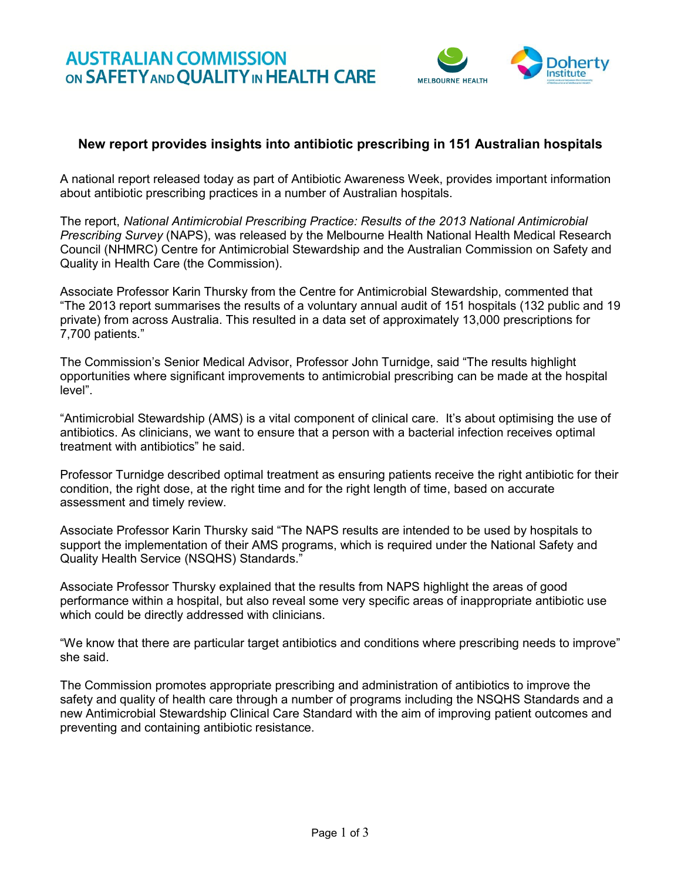

# **New report provides insights into antibiotic prescribing in 151 Australian hospitals**

A national report released today as part of Antibiotic Awareness Week, provides important information about antibiotic prescribing practices in a number of Australian hospitals.

The report, *National Antimicrobial Prescribing Practice: Results of the 2013 National Antimicrobial Prescribing Survey* (NAPS), was released by the Melbourne Health National Health Medical Research Council (NHMRC) Centre for Antimicrobial Stewardship and the Australian Commission on Safety and Quality in Health Care (the Commission).

Associate Professor Karin Thursky from the Centre for Antimicrobial Stewardship, commented that "The 2013 report summarises the results of a voluntary annual audit of 151 hospitals (132 public and 19 private) from across Australia. This resulted in a data set of approximately 13,000 prescriptions for 7,700 patients."

The Commission's Senior Medical Advisor, Professor John Turnidge, said "The results highlight opportunities where significant improvements to antimicrobial prescribing can be made at the hospital level".

"Antimicrobial Stewardship (AMS) is a vital component of clinical care. It's about optimising the use of antibiotics. As clinicians, we want to ensure that a person with a bacterial infection receives optimal treatment with antibiotics" he said.

Professor Turnidge described optimal treatment as ensuring patients receive the right antibiotic for their condition, the right dose, at the right time and for the right length of time, based on accurate assessment and timely review.

Associate Professor Karin Thursky said "The NAPS results are intended to be used by hospitals to support the implementation of their AMS programs, which is required under the National Safety and Quality Health Service (NSQHS) Standards."

Associate Professor Thursky explained that the results from NAPS highlight the areas of good performance within a hospital, but also reveal some very specific areas of inappropriate antibiotic use which could be directly addressed with clinicians.

"We know that there are particular target antibiotics and conditions where prescribing needs to improve" she said.

The Commission promotes appropriate prescribing and administration of antibiotics to improve the safety and quality of health care through a number of programs including the NSQHS Standards and a new Antimicrobial Stewardship Clinical Care Standard with the aim of improving patient outcomes and preventing and containing antibiotic resistance.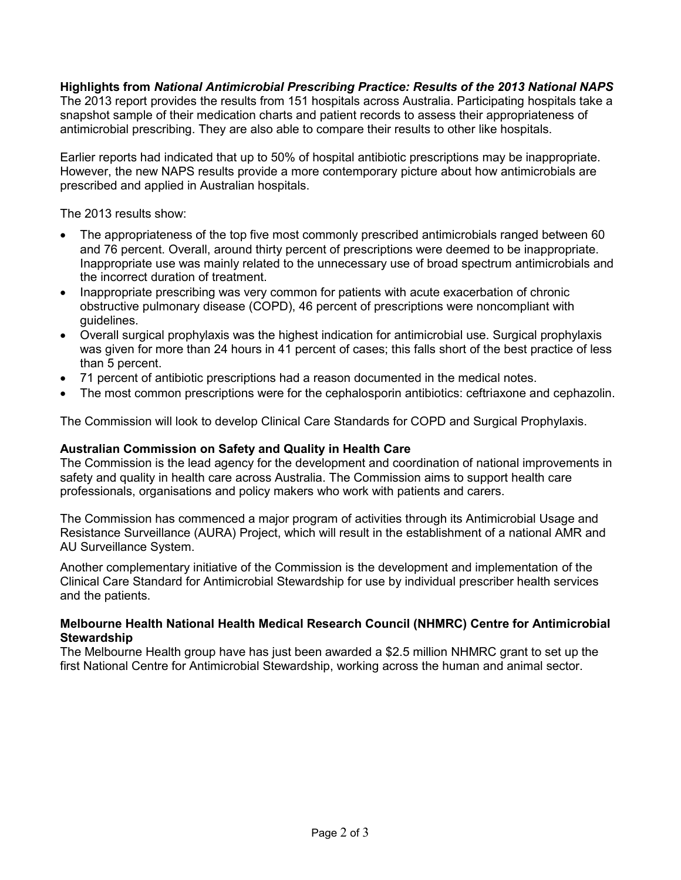## **Highlights from** *National Antimicrobial Prescribing Practice: Results of the 2013 National NAPS*

The 2013 report provides the results from 151 hospitals across Australia. Participating hospitals take a snapshot sample of their medication charts and patient records to assess their appropriateness of antimicrobial prescribing. They are also able to compare their results to other like hospitals.

Earlier reports had indicated that up to 50% of hospital antibiotic prescriptions may be inappropriate. However, the new NAPS results provide a more contemporary picture about how antimicrobials are prescribed and applied in Australian hospitals.

The 2013 results show:

- The appropriateness of the top five most commonly prescribed antimicrobials ranged between 60 and 76 percent. Overall, around thirty percent of prescriptions were deemed to be inappropriate. Inappropriate use was mainly related to the unnecessary use of broad spectrum antimicrobials and the incorrect duration of treatment.
- Inappropriate prescribing was very common for patients with acute exacerbation of chronic obstructive pulmonary disease (COPD), 46 percent of prescriptions were noncompliant with guidelines.
- Overall surgical prophylaxis was the highest indication for antimicrobial use. Surgical prophylaxis was given for more than 24 hours in 41 percent of cases; this falls short of the best practice of less than 5 percent.
- 71 percent of antibiotic prescriptions had a reason documented in the medical notes.
- The most common prescriptions were for the cephalosporin antibiotics: ceftriaxone and cephazolin.

The Commission will look to develop Clinical Care Standards for COPD and Surgical Prophylaxis.

#### **Australian Commission on Safety and Quality in Health Care**

The Commission is the lead agency for the development and coordination of national improvements in safety and quality in health care across Australia. The Commission aims to support health care professionals, organisations and policy makers who work with patients and carers.

The Commission has commenced a major program of activities through its Antimicrobial Usage and Resistance Surveillance (AURA) Project, which will result in the establishment of a national AMR and AU Surveillance System.

Another complementary initiative of the Commission is the development and implementation of the Clinical Care Standard for Antimicrobial Stewardship for use by individual prescriber health services and the patients.

#### **Melbourne Health National Health Medical Research Council (NHMRC) Centre for Antimicrobial Stewardship**

The Melbourne Health group have has just been awarded a \$2.5 million NHMRC grant to set up the first National Centre for Antimicrobial Stewardship, working across the human and animal sector.